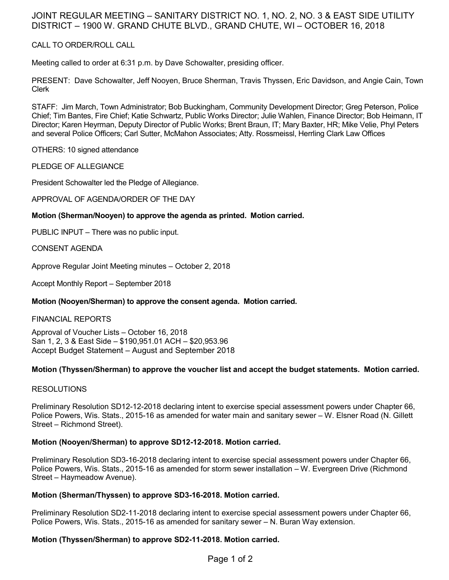# JOINT REGULAR MEETING – SANITARY DISTRICT NO. 1, NO. 2, NO. 3 & EAST SIDE UTILITY DISTRICT – 1900 W. GRAND CHUTE BLVD., GRAND CHUTE, WI – OCTOBER 16, 2018

CALL TO ORDER/ROLL CALL

Meeting called to order at 6:31 p.m. by Dave Schowalter, presiding officer.

PRESENT: Dave Schowalter, Jeff Nooyen, Bruce Sherman, Travis Thyssen, Eric Davidson, and Angie Cain, Town Clerk

STAFF: Jim March, Town Administrator; Bob Buckingham, Community Development Director; Greg Peterson, Police Chief; Tim Bantes, Fire Chief; Katie Schwartz, Public Works Director; Julie Wahlen, Finance Director; Bob Heimann, IT Director; Karen Heyrman, Deputy Director of Public Works; Brent Braun, IT; Mary Baxter, HR; Mike Velie, Phyl Peters and several Police Officers; Carl Sutter, McMahon Associates; Atty. Rossmeissl, Herrling Clark Law Offices

OTHERS: 10 signed attendance

PLEDGE OF ALLEGIANCE

President Schowalter led the Pledge of Allegiance.

APPROVAL OF AGENDA/ORDER OF THE DAY

## **Motion (Sherman/Nooyen) to approve the agenda as printed. Motion carried.**

PUBLIC INPUT – There was no public input.

CONSENT AGENDA

Approve Regular Joint Meeting minutes – October 2, 2018

Accept Monthly Report – September 2018

### **Motion (Nooyen/Sherman) to approve the consent agenda. Motion carried.**

### FINANCIAL REPORTS

Approval of Voucher Lists – October 16, 2018 San 1, 2, 3 & East Side – \$190,951.01 ACH – \$20,953.96 Accept Budget Statement – August and September 2018

### **Motion (Thyssen/Sherman) to approve the voucher list and accept the budget statements. Motion carried.**

### RESOLUTIONS

Preliminary Resolution SD12-12-2018 declaring intent to exercise special assessment powers under Chapter 66, Police Powers, Wis. Stats., 2015-16 as amended for water main and sanitary sewer – W. Elsner Road (N. Gillett Street – Richmond Street).

### **Motion (Nooyen/Sherman) to approve SD12-12-2018. Motion carried.**

Preliminary Resolution SD3-16-2018 declaring intent to exercise special assessment powers under Chapter 66, Police Powers, Wis. Stats., 2015-16 as amended for storm sewer installation – W. Evergreen Drive (Richmond Street – Haymeadow Avenue).

### **Motion (Sherman/Thyssen) to approve SD3-16-2018. Motion carried.**

Preliminary Resolution SD2-11-2018 declaring intent to exercise special assessment powers under Chapter 66, Police Powers, Wis. Stats., 2015-16 as amended for sanitary sewer – N. Buran Way extension.

### **Motion (Thyssen/Sherman) to approve SD2-11-2018. Motion carried.**